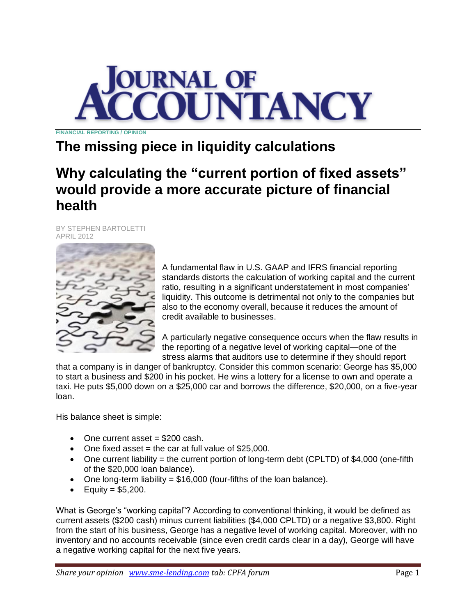

**FINANCIAL REPORTING / OPINION**

# **The missing piece in liquidity calculations**

## **Why calculating the "current portion of fixed assets" would provide a more accurate picture of financial health**

BY STEPHEN BARTOLETTI APRIL 2012



A fundamental flaw in U.S. GAAP and IFRS financial reporting standards distorts the calculation of working capital and the current ratio, resulting in a significant understatement in most companies' liquidity. This outcome is detrimental not only to the companies but also to the economy overall, because it reduces the amount of credit available to businesses.

A particularly negative consequence occurs when the flaw results in the reporting of a negative level of working capital—one of the stress alarms that auditors use to determine if they should report

that a company is in danger of bankruptcy. Consider this common scenario: George has \$5,000 to start a business and \$200 in his pocket. He wins a lottery for a license to own and operate a taxi. He puts \$5,000 down on a \$25,000 car and borrows the difference, \$20,000, on a five-year loan.

His balance sheet is simple:

- $\bullet$  One current asset = \$200 cash.
- $\bullet$  One fixed asset = the car at full value of \$25,000.
- One current liability = the current portion of long-term debt (CPLTD) of \$4,000 (one-fifth of the \$20,000 loan balance).
- $\bullet$  One long-term liability = \$16,000 (four-fifths of the loan balance).
- $\bullet$  Equity = \$5,200.

What is George's "working capital"? According to conventional thinking, it would be defined as current assets (\$200 cash) minus current liabilities (\$4,000 CPLTD) or a negative \$3,800. Right from the start of his business, George has a negative level of working capital. Moreover, with no inventory and no accounts receivable (since even credit cards clear in a day), George will have a negative working capital for the next five years.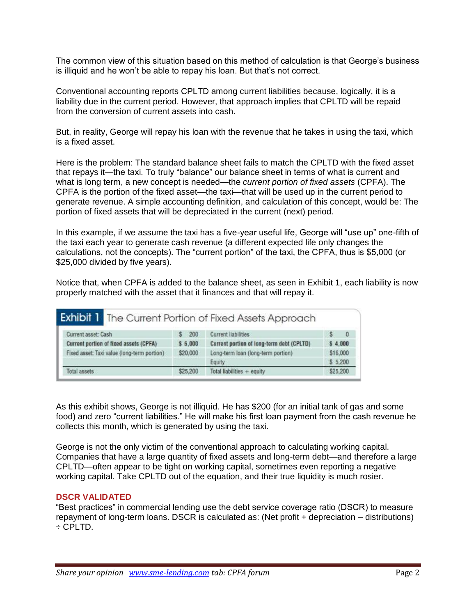The common view of this situation based on this method of calculation is that George's business is illiquid and he won't be able to repay his loan. But that's not correct.

Conventional accounting reports CPLTD among current liabilities because, logically, it is a liability due in the current period. However, that approach implies that CPLTD will be repaid from the conversion of current assets into cash.

But, in reality, George will repay his loan with the revenue that he takes in using the taxi, which is a fixed asset.

Here is the problem: The standard balance sheet fails to match the CPLTD with the fixed asset that repays it—the taxi. To truly "balance" our balance sheet in terms of what is current and what is long term, a new concept is needed—the *current portion of fixed assets* (CPFA). The CPFA is the portion of the fixed asset—the taxi—that will be used up in the current period to generate revenue. A simple accounting definition, and calculation of this concept, would be: The portion of fixed assets that will be depreciated in the current (next) period.

In this example, if we assume the taxi has a five-year useful life, George will "use up" one-fifth of the taxi each year to generate cash revenue (a different expected life only changes the calculations, not the concepts). The "current portion" of the taxi, the CPFA, thus is \$5,000 (or \$25,000 divided by five years).

Notice that, when CPFA is added to the balance sheet, as seen in Exhibit 1, each liability is now properly matched with the asset that it finances and that will repay it.

|                                             |          | <b>Exhibit 1</b> The Current Portion of Fixed Assets Approach |          |          |
|---------------------------------------------|----------|---------------------------------------------------------------|----------|----------|
| Current asset: Cash                         | 200      | <b>Current liabilities</b>                                    |          | $\bf{0}$ |
| Current portion of fixed assets (CPFA)      | \$5.000  | Current portion of long-term debt (CPLTD)                     | \$4.000  |          |
| Fixed asset: Taxi value (long-term portion) | \$20,000 | Long-term loan (long-term portion)                            | \$16,000 |          |
|                                             |          | Equity                                                        | \$5,200  |          |
| Total assets                                | \$25,200 | Total liabilities $+$ equity                                  | \$25,200 |          |

As this exhibit shows, George is not illiquid. He has \$200 (for an initial tank of gas and some food) and zero "current liabilities." He will make his first loan payment from the cash revenue he collects this month, which is generated by using the taxi.

George is not the only victim of the conventional approach to calculating working capital. Companies that have a large quantity of fixed assets and long-term debt—and therefore a large CPLTD—often appear to be tight on working capital, sometimes even reporting a negative working capital. Take CPLTD out of the equation, and their true liquidity is much rosier.

#### **DSCR VALIDATED**

―Best practices‖ in commercial lending use the debt service coverage ratio (DSCR) to measure repayment of long-term loans. DSCR is calculated as: (Net profit + depreciation – distributions) ÷ CPLTD.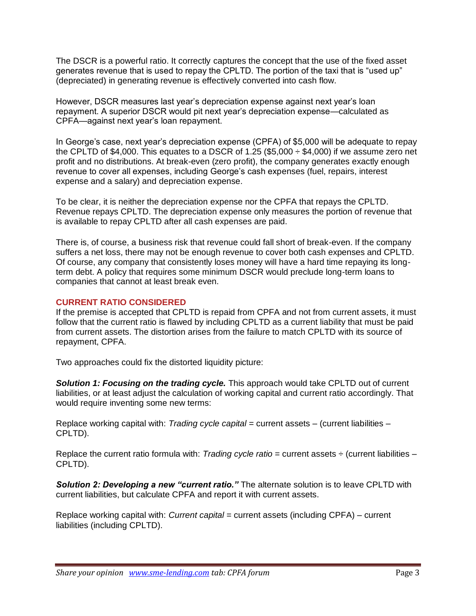The DSCR is a powerful ratio. It correctly captures the concept that the use of the fixed asset generates revenue that is used to repay the CPLTD. The portion of the taxi that is "used up" (depreciated) in generating revenue is effectively converted into cash flow.

However, DSCR measures last year's depreciation expense against next year's loan repayment. A superior DSCR would pit next year's depreciation expense—calculated as CPFA—against next year's loan repayment.

In George's case, next year's depreciation expense (CPFA) of \$5,000 will be adequate to repay the CPLTD of \$4,000. This equates to a DSCR of 1.25 (\$5,000  $\div$  \$4,000) if we assume zero net profit and no distributions. At break-even (zero profit), the company generates exactly enough revenue to cover all expenses, including George's cash expenses (fuel, repairs, interest expense and a salary) and depreciation expense.

To be clear, it is neither the depreciation expense nor the CPFA that repays the CPLTD. Revenue repays CPLTD. The depreciation expense only measures the portion of revenue that is available to repay CPLTD after all cash expenses are paid.

There is, of course, a business risk that revenue could fall short of break-even. If the company suffers a net loss, there may not be enough revenue to cover both cash expenses and CPLTD. Of course, any company that consistently loses money will have a hard time repaying its longterm debt. A policy that requires some minimum DSCR would preclude long-term loans to companies that cannot at least break even.

#### **CURRENT RATIO CONSIDERED**

If the premise is accepted that CPLTD is repaid from CPFA and not from current assets, it must follow that the current ratio is flawed by including CPLTD as a current liability that must be paid from current assets. The distortion arises from the failure to match CPLTD with its source of repayment, CPFA.

Two approaches could fix the distorted liquidity picture:

*Solution 1: Focusing on the trading cycle.* This approach would take CPLTD out of current liabilities, or at least adjust the calculation of working capital and current ratio accordingly. That would require inventing some new terms:

Replace working capital with: *Trading cycle capital* = current assets – (current liabilities – CPLTD).

Replace the current ratio formula with: *Trading cycle ratio* = current assets ÷ (current liabilities – CPLTD).

**Solution 2: Developing a new "current ratio."** The alternate solution is to leave CPLTD with current liabilities, but calculate CPFA and report it with current assets.

Replace working capital with: *Current capital* = current assets (including CPFA) – current liabilities (including CPLTD).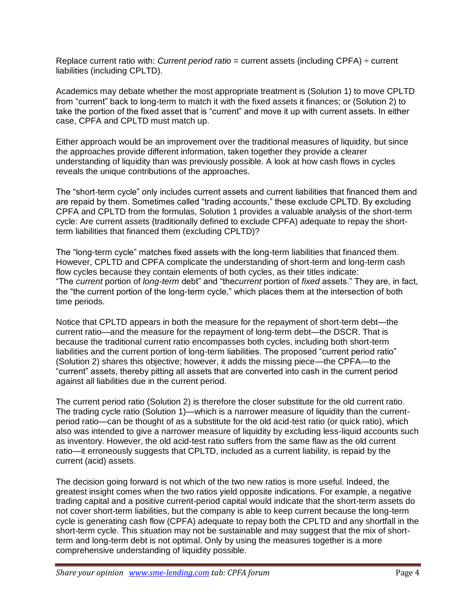Replace current ratio with: *Current period ratio* = current assets (including CPFA) ÷ current liabilities (including CPLTD).

Academics may debate whether the most appropriate treatment is (Solution 1) to move CPLTD from "current" back to long-term to match it with the fixed assets it finances; or (Solution 2) to take the portion of the fixed asset that is "current" and move it up with current assets. In either case, CPFA and CPLTD must match up.

Either approach would be an improvement over the traditional measures of liquidity, but since the approaches provide different information, taken together they provide a clearer understanding of liquidity than was previously possible. A look at how cash flows in cycles reveals the unique contributions of the approaches.

The "short-term cycle" only includes current assets and current liabilities that financed them and are repaid by them. Sometimes called "trading accounts," these exclude CPLTD. By excluding CPFA and CPLTD from the formulas, Solution 1 provides a valuable analysis of the short-term cycle: Are current assets (traditionally defined to exclude CPFA) adequate to repay the shortterm liabilities that financed them (excluding CPLTD)?

The "long-term cycle" matches fixed assets with the long-term liabilities that financed them. However, CPLTD and CPFA complicate the understanding of short-term and long-term cash flow cycles because they contain elements of both cycles, as their titles indicate: ―The *current* portion of *long-term* debt‖ and ―the*current* portion of *fixed* assets.‖ They are, in fact, the "the current portion of the long-term cycle," which places them at the intersection of both time periods.

Notice that CPLTD appears in both the measure for the repayment of short-term debt—the current ratio—and the measure for the repayment of long-term debt—the DSCR. That is because the traditional current ratio encompasses both cycles, including both short-term liabilities and the current portion of long-term liabilities. The proposed "current period ratio" (Solution 2) shares this objective; however, it adds the missing piece—the CPFA—to the ―current‖ assets, thereby pitting all assets that are converted into cash in the current period against all liabilities due in the current period.

The current period ratio (Solution 2) is therefore the closer substitute for the old current ratio. The trading cycle ratio (Solution 1)—which is a narrower measure of liquidity than the currentperiod ratio—can be thought of as a substitute for the old acid-test ratio (or quick ratio), which also was intended to give a narrower measure of liquidity by excluding less-liquid accounts such as inventory. However, the old acid-test ratio suffers from the same flaw as the old current ratio—it erroneously suggests that CPLTD, included as a current liability, is repaid by the current (acid) assets.

The decision going forward is not which of the two new ratios is more useful. Indeed, the greatest insight comes when the two ratios yield opposite indications. For example, a negative trading capital and a positive current-period capital would indicate that the short-term assets do not cover short-term liabilities, but the company is able to keep current because the long-term cycle is generating cash flow (CPFA) adequate to repay both the CPLTD and any shortfall in the short-term cycle. This situation may not be sustainable and may suggest that the mix of shortterm and long-term debt is not optimal. Only by using the measures together is a more comprehensive understanding of liquidity possible.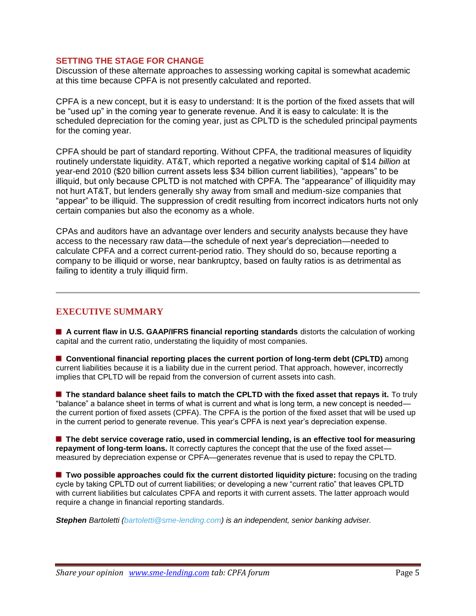#### **SETTING THE STAGE FOR CHANGE**

Discussion of these alternate approaches to assessing working capital is somewhat academic at this time because CPFA is not presently calculated and reported.

CPFA is a new concept, but it is easy to understand: It is the portion of the fixed assets that will be "used up" in the coming year to generate revenue. And it is easy to calculate: It is the scheduled depreciation for the coming year, just as CPLTD is the scheduled principal payments for the coming year.

CPFA should be part of standard reporting. Without CPFA, the traditional measures of liquidity routinely understate liquidity. AT&T, which reported a negative working capital of \$14 *billion* at year-end 2010 (\$20 billion current assets less \$34 billion current liabilities), "appears" to be illiquid, but only because CPLTD is not matched with CPFA. The "appearance" of illiquidity may not hurt AT&T, but lenders generally shy away from small and medium-size companies that "appear" to be illiquid. The suppression of credit resulting from incorrect indicators hurts not only certain companies but also the economy as a whole.

CPAs and auditors have an advantage over lenders and security analysts because they have access to the necessary raw data—the schedule of next year's depreciation—needed to calculate CPFA and a correct current-period ratio. They should do so, because reporting a company to be illiquid or worse, near bankruptcy, based on faulty ratios is as detrimental as failing to identity a truly illiquid firm.

### **EXECUTIVE SUMMARY**

**A current flaw in U.S. GAAP/IFRS financial reporting standards** distorts the calculation of working capital and the current ratio, understating the liquidity of most companies.

**E** Conventional financial reporting places the current portion of long-term debt (CPLTD) among current liabilities because it is a liability due in the current period. That approach, however, incorrectly implies that CPLTD will be repaid from the conversion of current assets into cash.

**The standard balance sheet fails to match the CPLTD with the fixed asset that repays it.** To truly "balance" a balance sheet in terms of what is current and what is long term, a new concept is needed the current portion of fixed assets (CPFA). The CPFA is the portion of the fixed asset that will be used up in the current period to generate revenue. This year's CPFA is next year's depreciation expense.

■ The debt service coverage ratio, used in commercial lending, is an effective tool for measuring repayment of long-term loans. It correctly captures the concept that the use of the fixed asset measured by depreciation expense or CPFA—generates revenue that is used to repay the CPLTD.

**T** Two possible approaches could fix the current distorted liquidity picture: focusing on the trading cycle by taking CPLTD out of current liabilities; or developing a new "current ratio" that leaves CPLTD with current liabilities but calculates CPFA and reports it with current assets. The latter approach would require a change in financial reporting standards.

*Stephen Bartoletti [\(bartoletti@sme-lending.com\)](mailto:bartoletti@sme-lending.com) is an independent, senior banking adviser.*